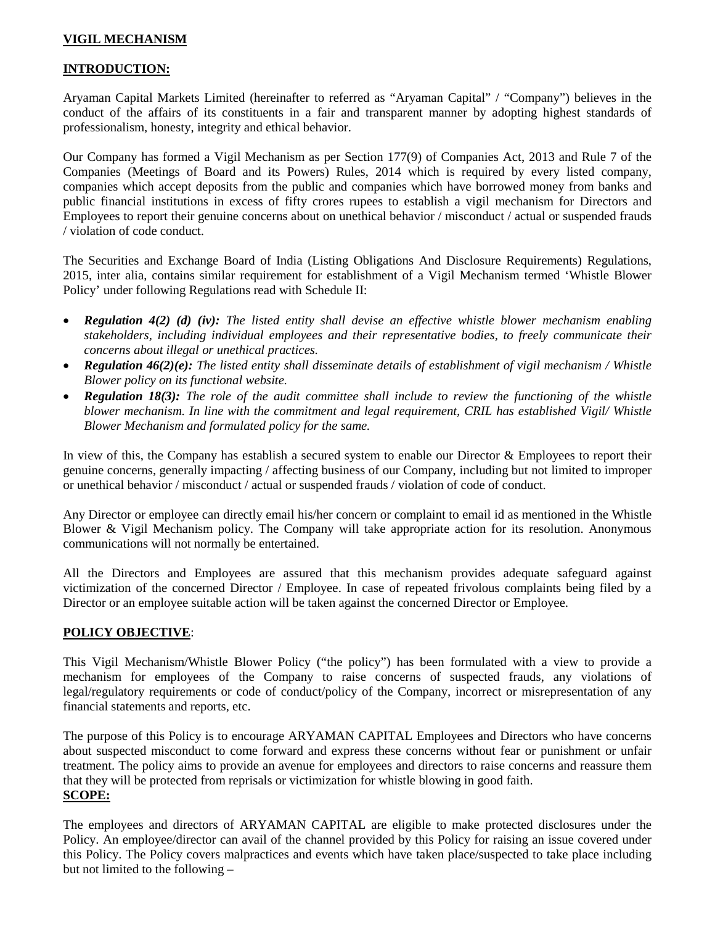# **VIGIL MECHANISM**

# **INTRODUCTION:**

Aryaman Capital Markets Limited (hereinafter to referred as "Aryaman Capital" / "Company") believes in the conduct of the affairs of its constituents in a fair and transparent manner by adopting highest standards of professionalism, honesty, integrity and ethical behavior.

Our Company has formed a Vigil Mechanism as per Section 177(9) of Companies Act, 2013 and Rule 7 of the Companies (Meetings of Board and its Powers) Rules, 2014 which is required by every listed company, companies which accept deposits from the public and companies which have borrowed money from banks and public financial institutions in excess of fifty crores rupees to establish a vigil mechanism for Directors and Employees to report their genuine concerns about on unethical behavior / misconduct / actual or suspended frauds / violation of code conduct.

The Securities and Exchange Board of India (Listing Obligations And Disclosure Requirements) Regulations, 2015, inter alia, contains similar requirement for establishment of a Vigil Mechanism termed 'Whistle Blower Policy' under following Regulations read with Schedule II:

- *Regulation 4(2) (d) (iv): The listed entity shall devise an effective whistle blower mechanism enabling stakeholders, including individual employees and their representative bodies, to freely communicate their concerns about illegal or unethical practices.*
- *Regulation 46(2)(e): The listed entity shall disseminate details of establishment of vigil mechanism / Whistle Blower policy on its functional website.*
- *Regulation 18(3): The role of the audit committee shall include to review the functioning of the whistle blower mechanism. In line with the commitment and legal requirement, CRIL has established Vigil/ Whistle Blower Mechanism and formulated policy for the same.*

In view of this, the Company has establish a secured system to enable our Director & Employees to report their genuine concerns, generally impacting / affecting business of our Company, including but not limited to improper or unethical behavior / misconduct / actual or suspended frauds / violation of code of conduct.

Any Director or employee can directly email his/her concern or complaint to email id as mentioned in the Whistle Blower & Vigil Mechanism policy. The Company will take appropriate action for its resolution. Anonymous communications will not normally be entertained.

All the Directors and Employees are assured that this mechanism provides adequate safeguard against victimization of the concerned Director / Employee. In case of repeated frivolous complaints being filed by a Director or an employee suitable action will be taken against the concerned Director or Employee.

### **POLICY OBJECTIVE**:

This Vigil Mechanism/Whistle Blower Policy ("the policy") has been formulated with a view to provide a mechanism for employees of the Company to raise concerns of suspected frauds, any violations of legal/regulatory requirements or code of conduct/policy of the Company, incorrect or misrepresentation of any financial statements and reports, etc.

The purpose of this Policy is to encourage ARYAMAN CAPITAL Employees and Directors who have concerns about suspected misconduct to come forward and express these concerns without fear or punishment or unfair treatment. The policy aims to provide an avenue for employees and directors to raise concerns and reassure them that they will be protected from reprisals or victimization for whistle blowing in good faith. **SCOPE:**

The employees and directors of ARYAMAN CAPITAL are eligible to make protected disclosures under the Policy. An employee/director can avail of the channel provided by this Policy for raising an issue covered under this Policy. The Policy covers malpractices and events which have taken place/suspected to take place including but not limited to the following –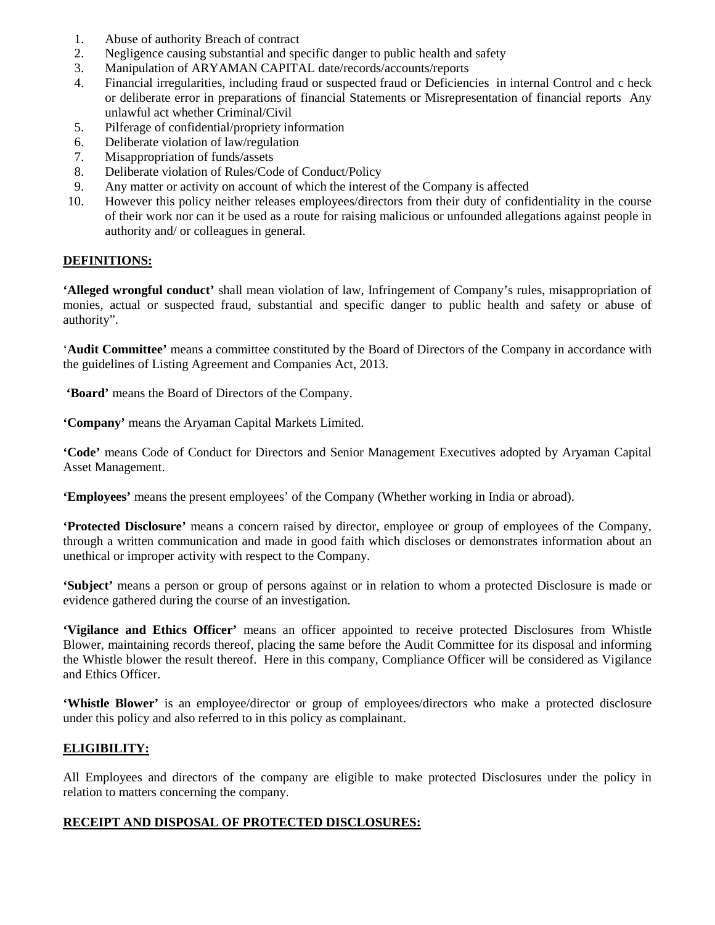- 1. Abuse of authority Breach of contract
- 2. Negligence causing substantial and specific danger to public health and safety
- 3. Manipulation of ARYAMAN CAPITAL date/records/accounts/reports
- 4. Financial irregularities, including fraud or suspected fraud or Deficiencies in internal Control and c heck or deliberate error in preparations of financial Statements or Misrepresentation of financial reports Any unlawful act whether Criminal/Civil
- 5. Pilferage of confidential/propriety information
- 6. Deliberate violation of law/regulation
- 7. Misappropriation of funds/assets
- 8. Deliberate violation of Rules/Code of Conduct/Policy
- 9. Any matter or activity on account of which the interest of the Company is affected
- 10. However this policy neither releases employees/directors from their duty of confidentiality in the course of their work nor can it be used as a route for raising malicious or unfounded allegations against people in authority and/ or colleagues in general.

### **DEFINITIONS:**

**'Alleged wrongful conduct'** shall mean violation of law, Infringement of Company's rules, misappropriation of monies, actual or suspected fraud, substantial and specific danger to public health and safety or abuse of authority".

'**Audit Committee'** means a committee constituted by the Board of Directors of the Company in accordance with the guidelines of Listing Agreement and Companies Act, 2013.

**'Board'** means the Board of Directors of the Company.

**'Company'** means the Aryaman Capital Markets Limited.

**'Code'** means Code of Conduct for Directors and Senior Management Executives adopted by Aryaman Capital Asset Management.

**'Employees'** means the present employees' of the Company (Whether working in India or abroad).

**'Protected Disclosure'** means a concern raised by director, employee or group of employees of the Company, through a written communication and made in good faith which discloses or demonstrates information about an unethical or improper activity with respect to the Company.

**'Subject'** means a person or group of persons against or in relation to whom a protected Disclosure is made or evidence gathered during the course of an investigation.

**'Vigilance and Ethics Officer'** means an officer appointed to receive protected Disclosures from Whistle Blower, maintaining records thereof, placing the same before the Audit Committee for its disposal and informing the Whistle blower the result thereof. Here in this company, Compliance Officer will be considered as Vigilance and Ethics Officer.

**'Whistle Blower'** is an employee/director or group of employees/directors who make a protected disclosure under this policy and also referred to in this policy as complainant.

### **ELIGIBILITY:**

All Employees and directors of the company are eligible to make protected Disclosures under the policy in relation to matters concerning the company.

### **RECEIPT AND DISPOSAL OF PROTECTED DISCLOSURES:**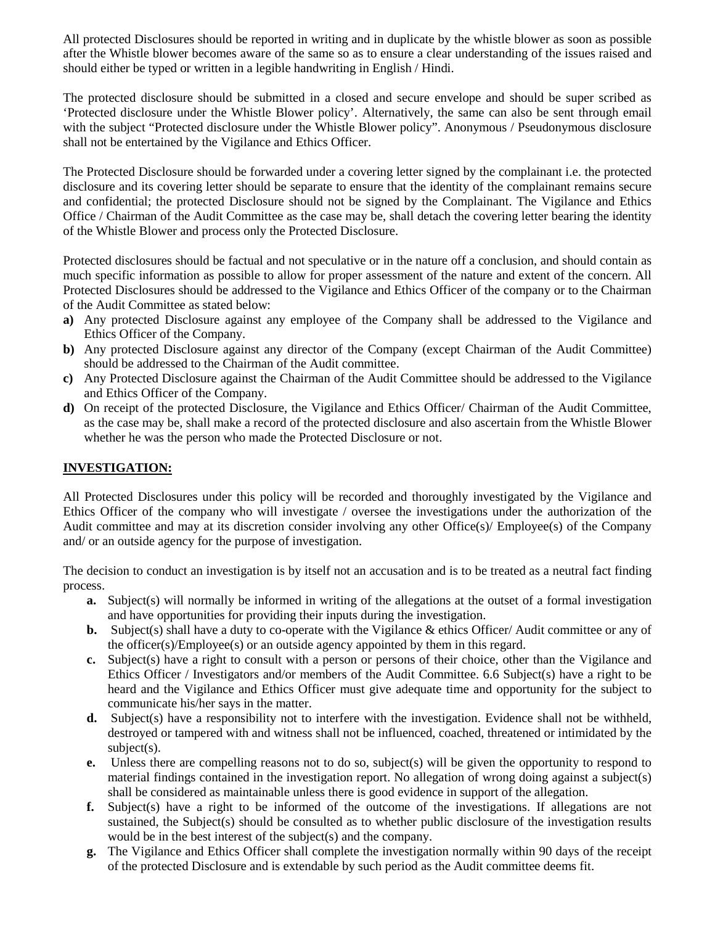All protected Disclosures should be reported in writing and in duplicate by the whistle blower as soon as possible after the Whistle blower becomes aware of the same so as to ensure a clear understanding of the issues raised and should either be typed or written in a legible handwriting in English / Hindi.

The protected disclosure should be submitted in a closed and secure envelope and should be super scribed as 'Protected disclosure under the Whistle Blower policy'. Alternatively, the same can also be sent through email with the subject "Protected disclosure under the Whistle Blower policy". Anonymous / Pseudonymous disclosure shall not be entertained by the Vigilance and Ethics Officer.

The Protected Disclosure should be forwarded under a covering letter signed by the complainant i.e. the protected disclosure and its covering letter should be separate to ensure that the identity of the complainant remains secure and confidential; the protected Disclosure should not be signed by the Complainant. The Vigilance and Ethics Office / Chairman of the Audit Committee as the case may be, shall detach the covering letter bearing the identity of the Whistle Blower and process only the Protected Disclosure.

Protected disclosures should be factual and not speculative or in the nature off a conclusion, and should contain as much specific information as possible to allow for proper assessment of the nature and extent of the concern. All Protected Disclosures should be addressed to the Vigilance and Ethics Officer of the company or to the Chairman of the Audit Committee as stated below:

- **a)** Any protected Disclosure against any employee of the Company shall be addressed to the Vigilance and Ethics Officer of the Company.
- **b)** Any protected Disclosure against any director of the Company (except Chairman of the Audit Committee) should be addressed to the Chairman of the Audit committee.
- **c)** Any Protected Disclosure against the Chairman of the Audit Committee should be addressed to the Vigilance and Ethics Officer of the Company.
- **d)** On receipt of the protected Disclosure, the Vigilance and Ethics Officer/ Chairman of the Audit Committee, as the case may be, shall make a record of the protected disclosure and also ascertain from the Whistle Blower whether he was the person who made the Protected Disclosure or not.

# **INVESTIGATION:**

All Protected Disclosures under this policy will be recorded and thoroughly investigated by the Vigilance and Ethics Officer of the company who will investigate / oversee the investigations under the authorization of the Audit committee and may at its discretion consider involving any other Office(s)/ Employee(s) of the Company and/ or an outside agency for the purpose of investigation.

The decision to conduct an investigation is by itself not an accusation and is to be treated as a neutral fact finding process.

- **a.** Subject(s) will normally be informed in writing of the allegations at the outset of a formal investigation and have opportunities for providing their inputs during the investigation.
- **b.** Subject(s) shall have a duty to co-operate with the Vigilance & ethics Officer/ Audit committee or any of the officer(s)/Employee(s) or an outside agency appointed by them in this regard.
- **c.** Subject(s) have a right to consult with a person or persons of their choice, other than the Vigilance and Ethics Officer / Investigators and/or members of the Audit Committee. 6.6 Subject(s) have a right to be heard and the Vigilance and Ethics Officer must give adequate time and opportunity for the subject to communicate his/her says in the matter.
- **d.** Subject(s) have a responsibility not to interfere with the investigation. Evidence shall not be withheld, destroyed or tampered with and witness shall not be influenced, coached, threatened or intimidated by the subject(s).
- **e.** Unless there are compelling reasons not to do so, subject(s) will be given the opportunity to respond to material findings contained in the investigation report. No allegation of wrong doing against a subject(s) shall be considered as maintainable unless there is good evidence in support of the allegation.
- **f.** Subject(s) have a right to be informed of the outcome of the investigations. If allegations are not sustained, the Subject(s) should be consulted as to whether public disclosure of the investigation results would be in the best interest of the subject(s) and the company.
- **g.** The Vigilance and Ethics Officer shall complete the investigation normally within 90 days of the receipt of the protected Disclosure and is extendable by such period as the Audit committee deems fit.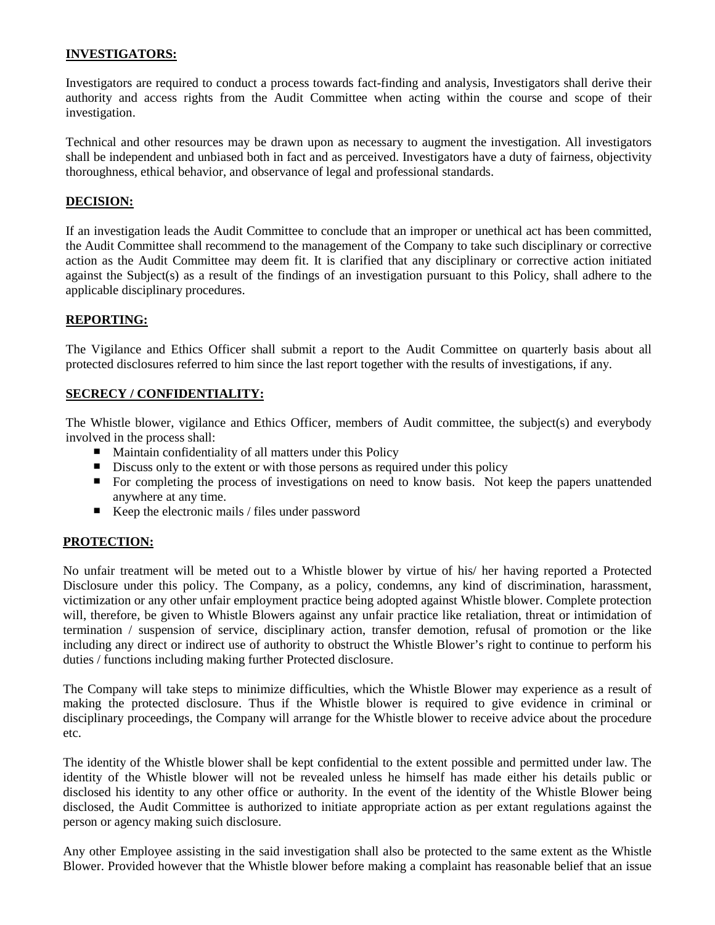# **INVESTIGATORS:**

Investigators are required to conduct a process towards fact-finding and analysis, Investigators shall derive their authority and access rights from the Audit Committee when acting within the course and scope of their investigation.

Technical and other resources may be drawn upon as necessary to augment the investigation. All investigators shall be independent and unbiased both in fact and as perceived. Investigators have a duty of fairness, objectivity thoroughness, ethical behavior, and observance of legal and professional standards.

# **DECISION:**

If an investigation leads the Audit Committee to conclude that an improper or unethical act has been committed, the Audit Committee shall recommend to the management of the Company to take such disciplinary or corrective action as the Audit Committee may deem fit. It is clarified that any disciplinary or corrective action initiated against the Subject(s) as a result of the findings of an investigation pursuant to this Policy, shall adhere to the applicable disciplinary procedures.

### **REPORTING:**

The Vigilance and Ethics Officer shall submit a report to the Audit Committee on quarterly basis about all protected disclosures referred to him since the last report together with the results of investigations, if any.

### **SECRECY / CONFIDENTIALITY:**

The Whistle blower, vigilance and Ethics Officer, members of Audit committee, the subject(s) and everybody involved in the process shall:

- $\blacksquare$  Maintain confidentiality of all matters under this Policy
- Discuss only to the extent or with those persons as required under this policy
- For completing the process of investigations on need to know basis. Not keep the papers unattended  $\blacksquare$ anywhere at any time.
- Keep the electronic mails / files under password

### **PROTECTION:**

No unfair treatment will be meted out to a Whistle blower by virtue of his/ her having reported a Protected Disclosure under this policy. The Company, as a policy, condemns, any kind of discrimination, harassment, victimization or any other unfair employment practice being adopted against Whistle blower. Complete protection will, therefore, be given to Whistle Blowers against any unfair practice like retaliation, threat or intimidation of termination / suspension of service, disciplinary action, transfer demotion, refusal of promotion or the like including any direct or indirect use of authority to obstruct the Whistle Blower's right to continue to perform his duties / functions including making further Protected disclosure.

The Company will take steps to minimize difficulties, which the Whistle Blower may experience as a result of making the protected disclosure. Thus if the Whistle blower is required to give evidence in criminal or disciplinary proceedings, the Company will arrange for the Whistle blower to receive advice about the procedure etc.

The identity of the Whistle blower shall be kept confidential to the extent possible and permitted under law. The identity of the Whistle blower will not be revealed unless he himself has made either his details public or disclosed his identity to any other office or authority. In the event of the identity of the Whistle Blower being disclosed, the Audit Committee is authorized to initiate appropriate action as per extant regulations against the person or agency making suich disclosure.

Any other Employee assisting in the said investigation shall also be protected to the same extent as the Whistle Blower. Provided however that the Whistle blower before making a complaint has reasonable belief that an issue